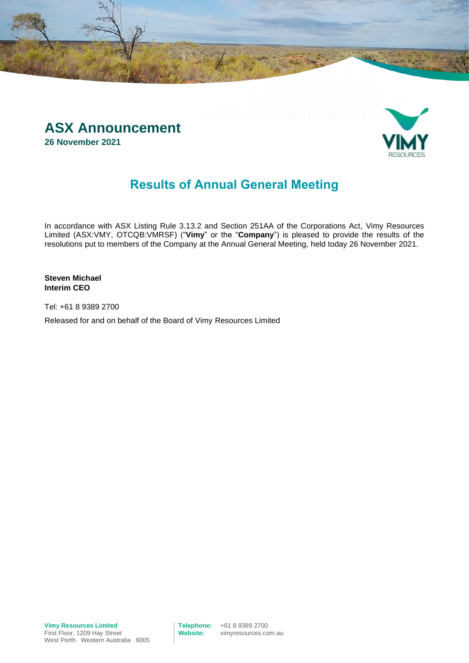



### **Results of Annual General Meeting**

In accordance with ASX Listing Rule 3.13.2 and Section 251AA of the Corporations Act, Vimy Resources Limited (ASX:VMY, OTCQB:VMRSF) ("**Vimy**" or the "**Company**") is pleased to provide the results of the resolutions put to members of the Company at the Annual General Meeting, held today 26 November 2021.

**Steven Michael Interim CEO**

Tel: +61 8 9389 2700

Released for and on behalf of the Board of Vimy Resources Limited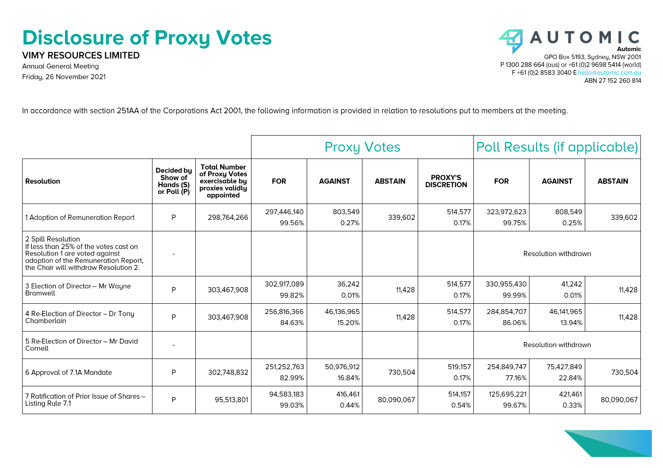## **Disclosure of Proxy Votes**

**VIMY RESOURCES LIMITED** 

**Annual General Meeting** Friday, 26 November 2021



In accordance with section 251AA of the Corporations Act 2001, the following information is provided in relation to resolutions put to members at the meeting.

|                                                                                                                                                                                |                                                   |                                                                                         | <b>Proxy Votes</b>    |                      |                | Poll Results (if applicable)        |                       |                      |                |
|--------------------------------------------------------------------------------------------------------------------------------------------------------------------------------|---------------------------------------------------|-----------------------------------------------------------------------------------------|-----------------------|----------------------|----------------|-------------------------------------|-----------------------|----------------------|----------------|
| <b>Resolution</b>                                                                                                                                                              | Decided bu<br>Show of<br>Hands (S)<br>or Poll (P) | <b>Total Number</b><br>of Proxy Votes<br>exercisable by<br>proxies validly<br>appointed | <b>FOR</b>            | <b>AGAINST</b>       | <b>ABSTAIN</b> | <b>PROXY'S</b><br><b>DISCRETION</b> | <b>FOR</b>            | <b>AGAINST</b>       | <b>ABSTAIN</b> |
| 1 Adoption of Remuneration Report                                                                                                                                              | P                                                 | 298,764,266                                                                             | 297,446,140<br>99.56% | 803,549<br>0.27%     | 339,602        | 514,577<br>0.17%                    | 323.972.623<br>99.75% | 808,549<br>0.25%     | 339,602        |
| 2 Spill Resolution<br>If less than 25% of the votes cast on<br>Resolution 1 are voted against<br>adoption of the Remuneration Report,<br>the Chair will withdraw Resolution 2. |                                                   |                                                                                         |                       |                      |                |                                     |                       | Resolution withdrawn |                |
| 3 Election of Director - Mr Wayne<br>Bramwell                                                                                                                                  | P                                                 | 303,467,908                                                                             | 302,917,089<br>99.82% | 36,242<br>0.01%      | 11,428         | 514,577<br>0.17%                    | 330,955,430<br>99.99% | 41,242<br>0.01%      | 11,428         |
| 4 Re-Election of Director - Dr Tony<br>Chamberlain                                                                                                                             | P                                                 | 303,467,908                                                                             | 256,816,366<br>84.63% | 46,136,965<br>15.20% | 11,428         | 514,577<br>0.17%                    | 284,854,707<br>86.06% | 46,141,965<br>13.94% | 11,428         |
| 5 Re-Election of Director - Mr David<br>Cornell                                                                                                                                |                                                   |                                                                                         |                       |                      |                |                                     | Resolution withdrawn  |                      |                |
| 6 Approval of 7.1A Mandate                                                                                                                                                     | P                                                 | 302.748.832                                                                             | 251,252,763<br>82.99% | 50,976,912<br>16.84% | 730,504        | 519,157<br>0.17%                    | 254,849,747<br>77.16% | 75,427,849<br>22.84% | 730,504        |
| 7 Ratification of Prior Issue of Shares -<br>Listing Rule 7.1                                                                                                                  | P                                                 | 95,513,801                                                                              | 94,583,183<br>99.03%  | 416,461<br>0.44%     | 80,090,067     | 514,157<br>0.54%                    | 125,695,221<br>99.67% | 421,461<br>0.33%     | 80,090,067     |

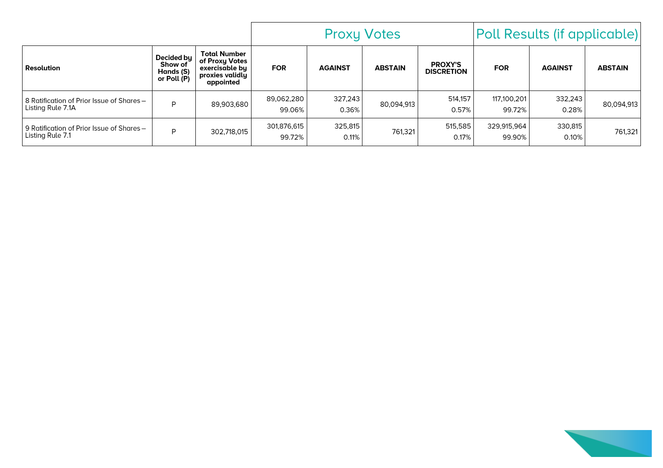|                                                                |                                                         |                                                                                         | <b>Proxy Votes</b>    |                  |                |                                     | Poll Results (if applicable) |                  |                |
|----------------------------------------------------------------|---------------------------------------------------------|-----------------------------------------------------------------------------------------|-----------------------|------------------|----------------|-------------------------------------|------------------------------|------------------|----------------|
| <b>Resolution</b>                                              | Decided by $ $<br>Show of<br>Hands (S)<br>or Poll $(P)$ | <b>Total Number</b><br>of Proxy Votes<br>exercisable bu<br>proxies validly<br>appointed | <b>FOR</b>            | <b>AGAINST</b>   | <b>ABSTAIN</b> | <b>PROXY'S</b><br><b>DISCRETION</b> | <b>FOR</b>                   | <b>AGAINST</b>   | <b>ABSTAIN</b> |
| 8 Ratification of Prior Issue of Shares -<br>Listing Rule 7.1A | P                                                       | 89,903,680                                                                              | 89,062,280<br>99.06%  | 327,243<br>0.36% | 80,094,913     | 514,157<br>0.57%                    | 117,100,201<br>99.72%        | 332,243<br>0.28% | 80,094,913     |
| 9 Ratification of Prior Issue of Shares -<br>Listing Rule 7.1  | D                                                       | 302,718,015                                                                             | 301,876,615<br>99.72% | 325,815<br>0.11% | 761,321        | 515,585<br>0.17%                    | 329,915,964<br>99.90%        | 330,815<br>0.10% | 761.321        |